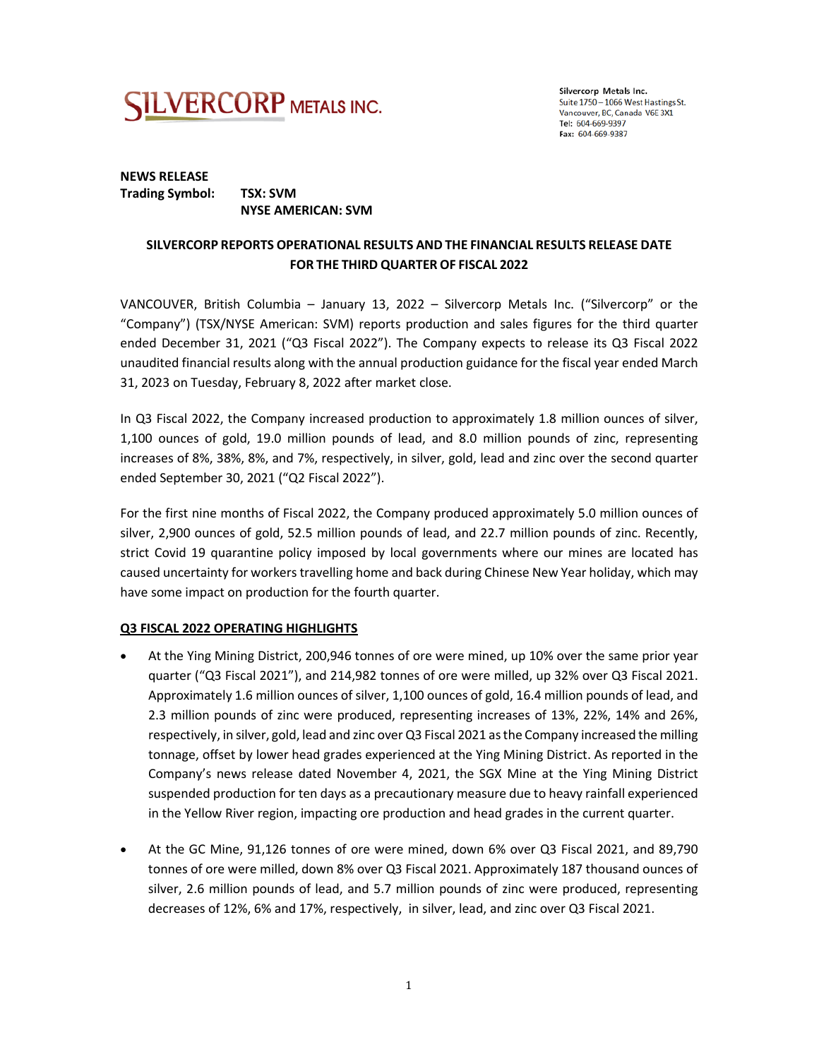

Silvercorp Metals Inc. Suite 1750 - 1066 West Hastings St. Vancouver, BC, Canada V6E 3X1 Tel: 604-669-9397 Fax: 604-669-9387

### **NEWS RELEASE Trading Symbol: TSX: SVM NYSE AMERICAN: SVM**

# **SILVERCORP REPORTS OPERATIONAL RESULTS AND THE FINANCIAL RESULTS RELEASE DATE FOR THE THIRD QUARTER OF FISCAL 2022**

VANCOUVER, British Columbia – January 13, 2022 – Silvercorp Metals Inc. ("Silvercorp" or the "Company") (TSX/NYSE American: SVM) reports production and sales figures for the third quarter ended December 31, 2021 ("Q3 Fiscal 2022"). The Company expects to release its Q3 Fiscal 2022 unaudited financial results along with the annual production guidance for the fiscal year ended March 31, 2023 on Tuesday, February 8, 2022 after market close.

In Q3 Fiscal 2022, the Company increased production to approximately 1.8 million ounces of silver, 1,100 ounces of gold, 19.0 million pounds of lead, and 8.0 million pounds of zinc, representing increases of 8%, 38%, 8%, and 7%, respectively, in silver, gold, lead and zinc over the second quarter ended September 30, 2021 ("Q2 Fiscal 2022").

For the first nine months of Fiscal 2022, the Company produced approximately 5.0 million ounces of silver, 2,900 ounces of gold, 52.5 million pounds of lead, and 22.7 million pounds of zinc. Recently, strict Covid 19 quarantine policy imposed by local governments where our mines are located has caused uncertainty for workers travelling home and back during Chinese New Year holiday, which may have some impact on production for the fourth quarter.

## **Q3 FISCAL 2022 OPERATING HIGHLIGHTS**

- At the Ying Mining District, 200,946 tonnes of ore were mined, up 10% over the same prior year quarter ("Q3 Fiscal 2021"), and 214,982 tonnes of ore were milled, up 32% over Q3 Fiscal 2021. Approximately 1.6 million ounces of silver, 1,100 ounces of gold, 16.4 million pounds of lead, and 2.3 million pounds of zinc were produced, representing increases of 13%, 22%, 14% and 26%, respectively, in silver, gold, lead and zinc over Q3 Fiscal 2021 as the Company increased the milling tonnage, offset by lower head grades experienced at the Ying Mining District. As reported in the Company's news release dated November 4, 2021, the SGX Mine at the Ying Mining District suspended production for ten days as a precautionary measure due to heavy rainfall experienced in the Yellow River region, impacting ore production and head grades in the current quarter.
- At the GC Mine, 91,126 tonnes of ore were mined, down 6% over Q3 Fiscal 2021, and 89,790 tonnes of ore were milled, down 8% over Q3 Fiscal 2021. Approximately 187 thousand ounces of silver, 2.6 million pounds of lead, and 5.7 million pounds of zinc were produced, representing decreases of 12%, 6% and 17%, respectively, in silver, lead, and zinc over Q3 Fiscal 2021.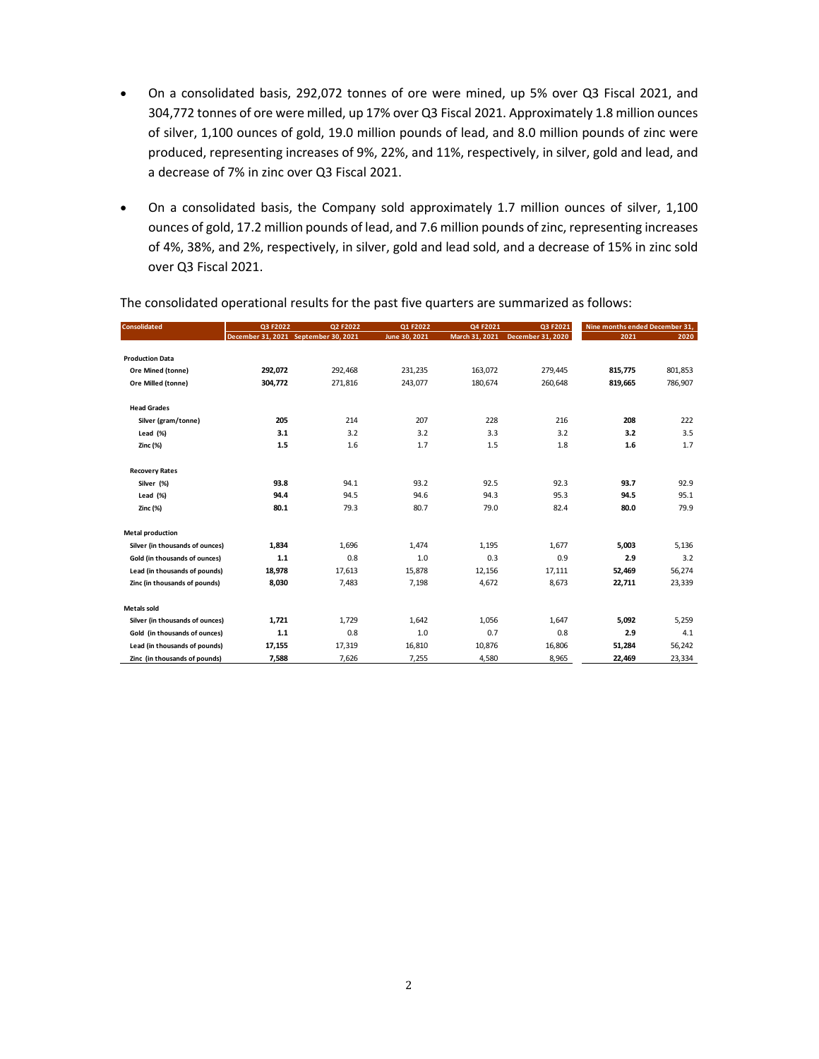- On a consolidated basis, 292,072 tonnes of ore were mined, up 5% over Q3 Fiscal 2021, and 304,772 tonnes of ore were milled, up 17% over Q3 Fiscal 2021. Approximately 1.8 million ounces of silver, 1,100 ounces of gold, 19.0 million pounds of lead, and 8.0 million pounds of zinc were produced, representing increases of 9%, 22%, and 11%, respectively, in silver, gold and lead, and a decrease of 7% in zinc over Q3 Fiscal 2021.
- On a consolidated basis, the Company sold approximately 1.7 million ounces of silver, 1,100 ounces of gold, 17.2 million pounds of lead, and 7.6 million pounds of zinc, representing increases of 4%, 38%, and 2%, respectively, in silver, gold and lead sold, and a decrease of 15% in zinc sold over Q3 Fiscal 2021.

| <b>Consolidated</b>             | Q3 F2022 | Q2 F2022                             | <b>Q1 F2022</b> | Q4 F2021       | Q3 F2021          | Nine months ended December 31. |         |
|---------------------------------|----------|--------------------------------------|-----------------|----------------|-------------------|--------------------------------|---------|
|                                 |          | December 31, 2021 September 30, 2021 | June 30, 2021   | March 31, 2021 | December 31, 2020 | 2021                           | 2020    |
| <b>Production Data</b>          |          |                                      |                 |                |                   |                                |         |
| Ore Mined (tonne)               | 292,072  | 292,468                              | 231,235         | 163,072        | 279,445           | 815,775                        | 801,853 |
| Ore Milled (tonne)              | 304,772  | 271,816                              | 243,077         | 180,674        | 260,648           | 819,665                        | 786,907 |
| <b>Head Grades</b>              |          |                                      |                 |                |                   |                                |         |
| Silver (gram/tonne)             | 205      | 214                                  | 207             | 228            | 216               | 208                            | 222     |
| Lead $(%)$                      | 3.1      | 3.2                                  | 3.2             | 3.3            | 3.2               | 3.2                            | 3.5     |
| Zinc (%)                        | 1.5      | 1.6                                  | 1.7             | 1.5            | 1.8               | 1.6                            | 1.7     |
| <b>Recovery Rates</b>           |          |                                      |                 |                |                   |                                |         |
| Silver (%)                      | 93.8     | 94.1                                 | 93.2            | 92.5           | 92.3              | 93.7                           | 92.9    |
| Lead $(%)$                      | 94.4     | 94.5                                 | 94.6            | 94.3           | 95.3              | 94.5                           | 95.1    |
| Zinc (%)                        | 80.1     | 79.3                                 | 80.7            | 79.0           | 82.4              | 80.0                           | 79.9    |
| <b>Metal production</b>         |          |                                      |                 |                |                   |                                |         |
| Silver (in thousands of ounces) | 1,834    | 1.696                                | 1,474           | 1.195          | 1,677             | 5,003                          | 5,136   |
| Gold (in thousands of ounces)   | 1.1      | 0.8                                  | 1.0             | 0.3            | 0.9               | 2.9                            | 3.2     |
| Lead (in thousands of pounds)   | 18,978   | 17,613                               | 15,878          | 12,156         | 17,111            | 52,469                         | 56,274  |
| Zinc (in thousands of pounds)   | 8,030    | 7,483                                | 7,198           | 4,672          | 8,673             | 22,711                         | 23,339  |
| <b>Metals sold</b>              |          |                                      |                 |                |                   |                                |         |
| Silver (in thousands of ounces) | 1,721    | 1,729                                | 1,642           | 1,056          | 1,647             | 5,092                          | 5,259   |
| Gold (in thousands of ounces)   | 1.1      | 0.8                                  | 1.0             | 0.7            | 0.8               | 2.9                            | 4.1     |
| Lead (in thousands of pounds)   | 17,155   | 17,319                               | 16,810          | 10,876         | 16,806            | 51,284                         | 56,242  |
| Zinc (in thousands of pounds)   | 7,588    | 7,626                                | 7,255           | 4,580          | 8,965             | 22,469                         | 23,334  |

The consolidated operational results for the past five quarters are summarized as follows: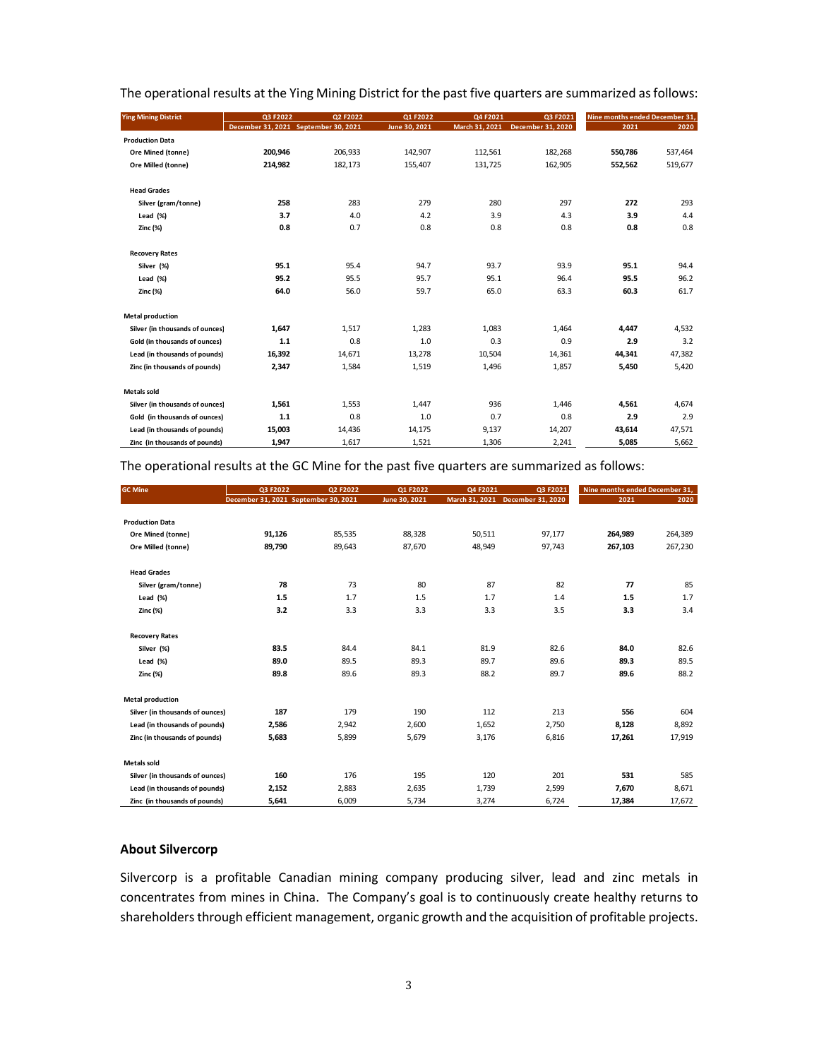| <b>Ying Mining District</b>     | Q3 F2022 | Q2 F2022                             | Q1 F2022      | Q4 F2021       | Q3 F2021          | Nine months ended December 31, |         |
|---------------------------------|----------|--------------------------------------|---------------|----------------|-------------------|--------------------------------|---------|
|                                 |          | December 31, 2021 September 30, 2021 | June 30, 2021 | March 31, 2021 | December 31, 2020 | 2021                           | 2020    |
| <b>Production Data</b>          |          |                                      |               |                |                   |                                |         |
| Ore Mined (tonne)               | 200,946  | 206.933                              | 142.907       | 112,561        | 182,268           | 550,786                        | 537,464 |
| Ore Milled (tonne)              | 214,982  | 182,173                              | 155,407       | 131,725        | 162,905           | 552,562                        | 519,677 |
| <b>Head Grades</b>              |          |                                      |               |                |                   |                                |         |
| Silver (gram/tonne)             | 258      | 283                                  | 279           | 280            | 297               | 272                            | 293     |
| Lead (%)                        | 3.7      | 4.0                                  | 4.2           | 3.9            | 4.3               | 3.9                            | 4.4     |
| Zinc (%)                        | 0.8      | 0.7                                  | 0.8           | 0.8            | 0.8               | 0.8                            | 0.8     |
| <b>Recovery Rates</b>           |          |                                      |               |                |                   |                                |         |
| Silver (%)                      | 95.1     | 95.4                                 | 94.7          | 93.7           | 93.9              | 95.1                           | 94.4    |
| Lead $(\%)$                     | 95.2     | 95.5                                 | 95.7          | 95.1           | 96.4              | 95.5                           | 96.2    |
| Zinc (%)                        | 64.0     | 56.0                                 | 59.7          | 65.0           | 63.3              | 60.3                           | 61.7    |
| <b>Metal production</b>         |          |                                      |               |                |                   |                                |         |
| Silver (in thousands of ounces) | 1,647    | 1,517                                | 1,283         | 1,083          | 1,464             | 4,447                          | 4,532   |
| Gold (in thousands of ounces)   | 1.1      | 0.8                                  | 1.0           | 0.3            | 0.9               | 2.9                            | 3.2     |
| Lead (in thousands of pounds)   | 16,392   | 14,671                               | 13,278        | 10,504         | 14,361            | 44,341                         | 47,382  |
| Zinc (in thousands of pounds)   | 2,347    | 1,584                                | 1,519         | 1,496          | 1,857             | 5,450                          | 5,420   |
| <b>Metals sold</b>              |          |                                      |               |                |                   |                                |         |
| Silver (in thousands of ounces) | 1,561    | 1,553                                | 1,447         | 936            | 1.446             | 4.561                          | 4,674   |
| Gold (in thousands of ounces)   | 1.1      | 0.8                                  | 1.0           | 0.7            | 0.8               | 2.9                            | 2.9     |
| Lead (in thousands of pounds)   | 15,003   | 14,436                               | 14,175        | 9,137          | 14,207            | 43,614                         | 47,571  |
| Zinc (in thousands of pounds)   | 1,947    | 1,617                                | 1,521         | 1,306          | 2,241             | 5,085                          | 5,662   |

The operational results at the Ying Mining District for the past five quarters are summarized as follows:

The operational results at the GC Mine for the past five quarters are summarized as follows:

| <b>GC Mine</b>                  | Q3 F2022                             | Q2 F2022 | Q1 F2022      | Q4 F2021 | Q3 F2021                         | Nine months ended December 31. |         |
|---------------------------------|--------------------------------------|----------|---------------|----------|----------------------------------|--------------------------------|---------|
|                                 | December 31, 2021 September 30, 2021 |          | June 30, 2021 |          | March 31, 2021 December 31, 2020 | 2021                           | 2020    |
|                                 |                                      |          |               |          |                                  |                                |         |
| <b>Production Data</b>          |                                      |          |               |          |                                  |                                |         |
| Ore Mined (tonne)               | 91,126                               | 85,535   | 88,328        | 50,511   | 97,177                           | 264,989                        | 264,389 |
| Ore Milled (tonne)              | 89,790                               | 89,643   | 87,670        | 48,949   | 97,743                           | 267,103                        | 267,230 |
| <b>Head Grades</b>              |                                      |          |               |          |                                  |                                |         |
| Silver (gram/tonne)             | 78                                   | 73       | 80            | 87       | 82                               | 77                             | 85      |
| Lead (%)                        | 1.5                                  | 1.7      | 1.5           | 1.7      | 1.4                              | 1.5                            | 1.7     |
| Zinc (%)                        | 3.2                                  | 3.3      | 3.3           | 3.3      | 3.5                              | 3.3                            | 3.4     |
| <b>Recovery Rates</b>           |                                      |          |               |          |                                  |                                |         |
| Silver (%)                      | 83.5                                 | 84.4     | 84.1          | 81.9     | 82.6                             | 84.0                           | 82.6    |
| Lead (%)                        | 89.0                                 | 89.5     | 89.3          | 89.7     | 89.6                             | 89.3                           | 89.5    |
| Zinc (%)                        | 89.8                                 | 89.6     | 89.3          | 88.2     | 89.7                             | 89.6                           | 88.2    |
| <b>Metal production</b>         |                                      |          |               |          |                                  |                                |         |
| Silver (in thousands of ounces) | 187                                  | 179      | 190           | 112      | 213                              | 556                            | 604     |
| Lead (in thousands of pounds)   | 2,586                                | 2,942    | 2,600         | 1,652    | 2,750                            | 8,128                          | 8,892   |
| Zinc (in thousands of pounds)   | 5,683                                | 5,899    | 5,679         | 3,176    | 6,816                            | 17,261                         | 17,919  |
| <b>Metals sold</b>              |                                      |          |               |          |                                  |                                |         |
| Silver (in thousands of ounces) | 160                                  | 176      | 195           | 120      | 201                              | 531                            | 585     |
| Lead (in thousands of pounds)   | 2,152                                | 2,883    | 2,635         | 1,739    | 2,599                            | 7,670                          | 8,671   |
| Zinc (in thousands of pounds)   | 5,641                                | 6,009    | 5,734         | 3,274    | 6,724                            | 17,384                         | 17,672  |

### **About Silvercorp**

Silvercorp is a profitable Canadian mining company producing silver, lead and zinc metals in concentrates from mines in China. The Company's goal is to continuously create healthy returns to shareholders through efficient management, organic growth and the acquisition of profitable projects.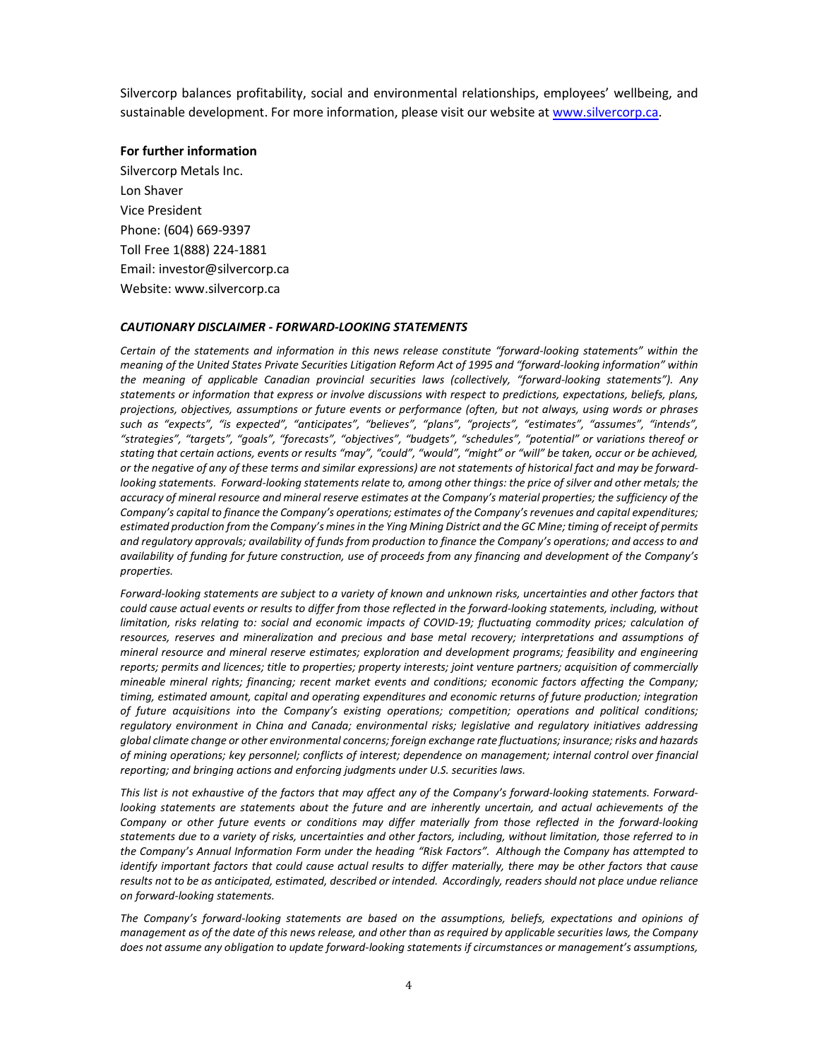Silvercorp balances profitability, social and environmental relationships, employees' wellbeing, and sustainable development. For more information, please visit our website a[t www.silvercorp.ca.](http://www.silvercorp.ca/)

#### **For further information**

Silvercorp Metals Inc. Lon Shaver Vice President Phone: (604) 669-9397 Toll Free 1(888) 224-1881 Email: investor@silvercorp.ca Website: www.silvercorp.ca

#### *CAUTIONARY DISCLAIMER - FORWARD-LOOKING STATEMENTS*

*Certain of the statements and information in this news release constitute "forward-looking statements" within the meaning of the United States Private Securities Litigation Reform Act of 1995 and "forward-looking information" within the meaning of applicable Canadian provincial securities laws (collectively, "forward-looking statements"). Any statements or information that express or involve discussions with respect to predictions, expectations, beliefs, plans, projections, objectives, assumptions or future events or performance (often, but not always, using words or phrases such as "expects", "is expected", "anticipates", "believes", "plans", "projects", "estimates", "assumes", "intends", "strategies", "targets", "goals", "forecasts", "objectives", "budgets", "schedules", "potential" or variations thereof or stating that certain actions, events or results "may", "could", "would", "might" or "will" be taken, occur or be achieved, or the negative of any of these terms and similar expressions) are not statements of historical fact and may be forwardlooking statements. Forward-looking statements relate to, among other things: the price of silver and other metals; the accuracy of mineral resource and mineral reserve estimates at the Company's material properties; the sufficiency of the Company's capital to finance the Company's operations; estimates of the Company's revenues and capital expenditures; estimated production from the Company's mines in the Ying Mining District and the GC Mine; timing of receipt of permits and regulatory approvals; availability of funds from production to finance the Company's operations; and access to and availability of funding for future construction, use of proceeds from any financing and development of the Company's properties.*

Forward-looking statements are subject to a variety of known and unknown risks, uncertainties and other factors that *could cause actual events or results to differ from those reflected in the forward-looking statements, including, without*  limitation, risks relating to: social and economic impacts of COVID-19; fluctuating commodity prices; calculation of resources, reserves and mineralization and precious and base metal recovery; interpretations and assumptions of *mineral resource and mineral reserve estimates; exploration and development programs; feasibility and engineering reports; permits and licences; title to properties; property interests; joint venture partners; acquisition of commercially mineable mineral rights; financing; recent market events and conditions; economic factors affecting the Company; timing, estimated amount, capital and operating expenditures and economic returns of future production; integration of future acquisitions into the Company's existing operations; competition; operations and political conditions; regulatory environment in China and Canada; environmental risks; legislative and regulatory initiatives addressing global climate change or other environmental concerns; foreign exchange rate fluctuations; insurance; risks and hazards of mining operations; key personnel; conflicts of interest; dependence on management; internal control over financial reporting; and bringing actions and enforcing judgments under U.S. securities laws.*

*This list is not exhaustive of the factors that may affect any of the Company's forward-looking statements. Forwardlooking statements are statements about the future and are inherently uncertain, and actual achievements of the Company or other future events or conditions may differ materially from those reflected in the forward-looking statements due to a variety of risks, uncertainties and other factors, including, without limitation, those referred to in the Company's Annual Information Form under the heading "Risk Factors". Although the Company has attempted to identify important factors that could cause actual results to differ materially, there may be other factors that cause results not to be as anticipated, estimated, described or intended. Accordingly, readers should not place undue reliance on forward-looking statements.* 

*The Company's forward-looking statements are based on the assumptions, beliefs, expectations and opinions of management as of the date of this news release, and other than as required by applicable securities laws, the Company does not assume any obligation to update forward-looking statements if circumstances or management's assumptions,*